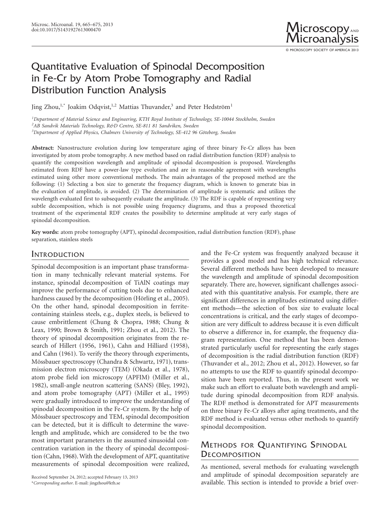Microsc. Microanal. 19, 665–675, 2013<br>doi:10.1017/S1431927613000470 Microscopy AND Microanalysis

© MICROSCOPY SOCIETY OF AMERICA 2013

# Quantitative Evaluation of Spinodal Decomposition in Fe-Cr by Atom Probe Tomography and Radial Distribution Function Analysis

Jing Zhou,<sup>1,\*</sup> Joakim Odqvist,<sup>1,2</sup> Mattias Thuvander,<sup>3</sup> and Peter Hedström<sup>1</sup>

*1 Department of Material Science and Engineering, KTH Royal Institute of Technology, SE-10044 Stockholm, Sweden 2 AB Sandvik Materials Technology, R&D Centre, SE-811 81 Sandviken, Sweden 3 Department of Applied Physics, Chalmers University of Technology, SE-412 96 Göteborg, Sweden*

**Abstract:** Nanostructure evolution during low temperature aging of three binary Fe-Cr alloys has been investigated by atom probe tomography. A new method based on radial distribution function (RDF) analysis to quantify the composition wavelength and amplitude of spinodal decomposition is proposed. Wavelengths estimated from RDF have a power-law type evolution and are in reasonable agreement with wavelengths estimated using other more conventional methods. The main advantages of the proposed method are the following: (1) Selecting a box size to generate the frequency diagram, which is known to generate bias in the evaluation of amplitude, is avoided. (2) The determination of amplitude is systematic and utilizes the wavelength evaluated first to subsequently evaluate the amplitude. (3) The RDF is capable of representing very subtle decomposition, which is not possible using frequency diagrams, and thus a proposed theoretical treatment of the experimental RDF creates the possibility to determine amplitude at very early stages of spinodal decomposition.

Key words: atom probe tomography (APT), spinodal decomposition, radial distribution function (RDF), phase separation, stainless steels

### **INTRODUCTION**

Spinodal decomposition is an important phase transformation in many technically relevant material systems. For instance, spinodal decomposition of TiAlN coatings may improve the performance of cutting tools due to enhanced hardness caused by the decomposition (Hörling et al., 2005). On the other hand, spinodal decomposition in ferritecontaining stainless steels, e.g., duplex steels, is believed to cause embrittlement (Chung & Chopra, 1988; Chung & Leax, 1990; Brown & Smith, 1991; Zhou et al., 2012). The theory of spinodal decomposition originates from the research of Hillert  $(1956, 1961)$ , Cahn and Hilliard  $(1958)$ , and Cahn (1961). To verify the theory through experiments, Mössbauer spectroscopy (Chandra & Schwartz, 1971), transmission electron microscopy (TEM) (Okada et al., 1978), atom probe field ion microscopy (APFIM) (Miller et al., 1982), small-angle neutron scattering (SANS) (Bley, 1992), and atom probe tomography (APT) (Miller et al., 1995) were gradually introduced to improve the understanding of spinodal decomposition in the Fe-Cr system. By the help of Mössbauer spectroscopy and TEM, spinodal decomposition can be detected, but it is difficult to determine the wavelength and amplitude, which are considered to be the two most important parameters in the assumed sinusoidal concentration variation in the theory of spinodal decomposition (Cahn, 1968). With the development of APT, quantitative measurements of spinodal decomposition were realized,

and the Fe-Cr system was frequently analyzed because it provides a good model and has high technical relevance. Several different methods have been developed to measure the wavelength and amplitude of spinodal decomposition separately. There are, however, significant challenges associated with this quantitative analysis. For example, there are significant differences in amplitudes estimated using different methods—the selection of box size to evaluate local concentrations is critical, and the early stages of decomposition are very difficult to address because it is even difficult to observe a difference in, for example, the frequency diagram representation. One method that has been demonstrated particularly useful for representing the early stages of decomposition is the radial distribution function (RDF) (Thuvander et al., 2012; Zhou et al., 2012). However, so far no attempts to use the RDF to quantify spinodal decomposition have been reported. Thus, in the present work we make such an effort to evaluate both wavelength and amplitude during spinodal decomposition from RDF analysis. The RDF method is demonstrated for APT measurements on three binary Fe-Cr alloys after aging treatments, and the RDF method is evaluated versus other methods to quantify spinodal decomposition.

## METHODS FOR QUANTIFYING SPINODAL **DECOMPOSITION**

As mentioned, several methods for evaluating wavelength and amplitude of spinodal decomposition separately are available. This section is intended to provide a brief over-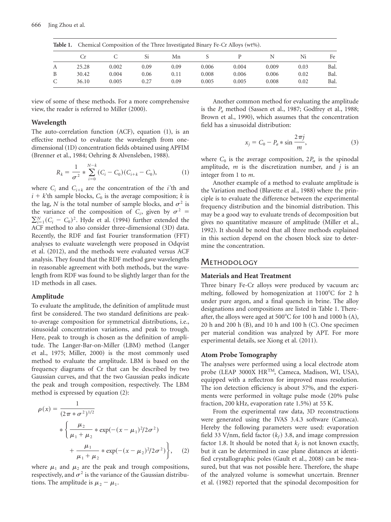| Table 1. |       | Chemical Composition of the Three Investigated Binary Fe-Cr Alloys (wt%). |      |      |       |       |       |      |      |  |
|----------|-------|---------------------------------------------------------------------------|------|------|-------|-------|-------|------|------|--|
|          | Cr.   |                                                                           | Si   | Mn   |       |       | N     | Ni   | Fe   |  |
| А        | 25.28 | 0.002                                                                     | 0.09 | 0.09 | 0.006 | 0.004 | 0.009 | 0.03 | Bal. |  |
| B        | 30.42 | 0.004                                                                     | 0.06 | 0.11 | 0.008 | 0.006 | 0.006 | 0.02 | Bal. |  |
| C        | 36.10 | 0.005                                                                     | 0.27 | 0.09 | 0.005 | 0.005 | 0.008 | 0.02 | Bal. |  |

view of some of these methods. For a more comprehensive view, the reader is referred to Miller  $(2000)$ .

### **Wavelength**

The auto-correlation function  $(ACF)$ , equation  $(1)$ , is an effective method to evaluate the wavelength from onedimensional (1D) concentration fields obtained using APFIM (Brenner et al., 1984; Oehring & Alvensleben, 1988).

$$
R_k = \frac{1}{\sigma^2} * \sum_{i=0}^{N-k} (C_i - C_0)(C_{i+k} - C_0),
$$
 (1)

where  $C_i$  and  $C_{i+k}$  are the concentration of the *i*'th and  $i + k$ <sup>th</sup> sample blocks,  $C_0$  is the average composition; *k* is the lag, *N* is the total number of sample blocks, and  $\sigma^2$  is the variance of the composition of  $C_i$ , given by  $\sigma^2$  =  $\sum_{i=1}^{N} (C_i - C_0)^2$ . Hyde et al. (1994) further extended the ACF method to also consider three-dimensional (3D) data. Recently, the RDF and fast Fourier transformation (FFT) analyses to evaluate wavelength were proposed in Odqvist et al. (2012), and the methods were evaluated versus ACF analysis. They found that the RDF method gave wavelengths in reasonable agreement with both methods, but the wavelength from RDF was found to be slightly larger than for the 1D methods in all cases.

#### **Amplitude**

To evaluate the amplitude, the definition of amplitude must first be considered. The two standard definitions are peakto-average composition for symmetrical distributions, i.e., sinusoidal concentration variations, and peak to trough. Here, peak to trough is chosen as the definition of amplitude. The Langer-Bar-on-Miller (LBM) method (Langer et al., 1975; Miller, 2000) is the most commonly used method to evaluate the amplitude. LBM is based on the frequency diagrams of Cr that can be described by two Gaussian curves, and that the two Gaussian peaks indicate the peak and trough composition, respectively. The LBM method is expressed by equation  $(2)$ :

$$
\rho(x) = \frac{1}{(2\pi * \sigma^2)^{1/2}}
$$
  
 
$$
* \left\{ \frac{\mu_2}{\mu_1 + \mu_2} * \exp(-(x - \mu_1)^2 / 2\sigma^2) + \frac{\mu_1}{\mu_1 + \mu_2} * \exp(-(x - \mu_2)^2 / 2\sigma^2) \right\}, \quad (2)
$$

where  $\mu_1$  and  $\mu_2$  are the peak and trough compositions, respectively, and  $\sigma^2$  is the variance of the Gaussian distributions. The amplitude is  $\mu_2 - \mu_1$ .

Another common method for evaluating the amplitude is the  $P_a$  method (Sassen et al., 1987; Godfrey et al., 1988; Brown et al., 1990), which assumes that the concentration field has a sinusoidal distribution:

$$
x_j = C_0 - P_a * \sin \frac{2\pi j}{m},
$$
\n(3)

where  $C_0$  is the average composition,  $2P_\alpha$  is the spinodal amplitude, *m* is the discretization number, and *j* is an integer from 1 to *m*.

Another example of a method to evaluate amplitude is the Variation method (Blavette et al., 1988) where the principle is to evaluate the difference between the experimental frequency distribution and the binomial distribution. This may be a good way to evaluate trends of decomposition but gives no quantitative measure of amplitude (Miller et al., 1992). It should be noted that all three methods explained in this section depend on the chosen block size to determine the concentration.

### **METHODOLOGY**

### **Materials and Heat Treatment**

Three binary Fe-Cr alloys were produced by vacuum arc melting, followed by homogenization at  $1100^{\circ}$ C for 2 h under pure argon, and a final quench in brine. The alloy designations and compositions are listed in Table 1. Thereafter, the alloys were aged at  $500^{\circ}$ C for 100 h and 1000 h (A), 20 h and 200 h  $(B)$ , and 10 h and 100 h  $(C)$ . One specimen per material condition was analyzed by APT. For more experimental details, see Xiong et al. (2011).

### **Atom Probe Tomography**

The analyses were performed using a local electrode atom probe (LEAP 3000X HR<sup>TM</sup>, Cameca, Madison, WI, USA), equipped with a reflectron for improved mass resolution. The ion detection efficiency is about 37%, and the experiments were performed in voltage pulse mode  $(20\%$  pulse fraction, 200 kHz, evaporation rate  $1.5\%$  at 55 K.

From the experimental raw data, 3D reconstructions were generated using the IVAS 3.4.3 software (Cameca). Hereby the following parameters were used: evaporation field 33 V/nm, field factor  $(k_f)$  3.8, and image compression factor 1.8. It should be noted that  $k_f$  is not known exactly, but it can be determined in case plane distances at identified crystallographic poles (Gault et al., 2008) can be measured, but that was not possible here. Therefore, the shape of the analyzed volume is somewhat uncertain. Brenner et al. (1982) reported that the spinodal decomposition for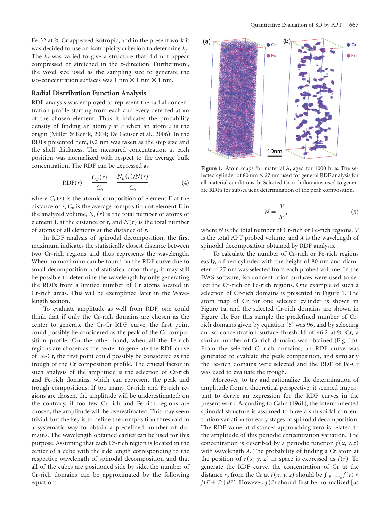Fe-32 at.% Cr appeared isotropic, and in the present work it was decided to use an isotropicity criterion to determine  $k_f$ . The  $k_f$  was varied to give a structure that did not appear compressed or stretched in the *z*-direction. Furthermore, the voxel size used as the sampling size to generate the iso-concentration surfaces was 1 nm  $\times$  1 nm  $\times$  1 nm.

#### **Radial Distribution Function Analysis**

RDF analysis was employed to represent the radial concentration profile starting from each and every detected atom of the chosen element. Thus it indicates the probability density of finding an atom *j* at *r* when an atom *i* is the origin (Miller & Kenik, 2004; De Geuser et al., 2006). In the RDFs presented here, 0.2 nm was taken as the step size and the shell thickness. The measured concentration at each position was normalized with respect to the average bulk concentration. The RDF can be expressed as

RDF(r) = 
$$
\frac{C_E(r)}{C_0} = \frac{N_E(r)/N(r)}{C_0}
$$
, (4)

where  $C_E(r)$  is the atomic composition of element E at the distance of  $r$ ,  $C_0$  is the average composition of element E in the analyzed volume,  $N_E(r)$  is the total number of atoms of element E at the distance of *r*, and  $N(r)$  is the total number of atoms of all elements at the distance of *r*.

In RDF analysis of spinodal decomposition, the first maximum indicates the statistically closest distance between two Cr-rich regions and thus represents the wavelength. When no maximum can be found on the RDF curve due to small decomposition and statistical smoothing, it may still be possible to determine the wavelength by only generating the RDFs from a limited number of Cr atoms located in Cr-rich areas. This will be exemplified later in the Wavelength section.

To evaluate amplitude as well from RDF, one could think that if only the Cr-rich domains are chosen as the center to generate the Cr-Cr RDF curve, the first point could possibly be considered as the peak of the Cr composition profile. On the other hand, when all the Fe-rich regions are chosen as the center to generate the RDF curve of Fe-Cr, the first point could possibly be considered as the trough of the Cr composition profile. The crucial factor in such analysis of the amplitude is the selection of Cr-rich and Fe-rich domains, which can represent the peak and trough compositions. If too many Cr-rich and Fe-rich regions are chosen, the amplitude will be underestimated; on the contrary, if too few Cr-rich and Fe-rich regions are chosen, the amplitude will be overestimated. This may seem trivial, but the key is to define the composition threshold in a systematic way to obtain a predefined number of domains. The wavelength obtained earlier can be used for this purpose. Assuming that each Cr-rich region is located in the center of a cube with the side length corresponding to the respective wavelength of spinodal decomposition and that all of the cubes are positioned side by side, the number of Cr-rich domains can be approximated by the following equation:



**Figure 1.** Atom maps for material A, aged for 1000 h. **a:** The selected cylinder of 80 nm  $\times$  27 nm used for general RDF analysis for all material conditions. **b:** Selected Cr-rich domains used to generate RDFs for subsequent determination of the peak composition.

$$
N = \frac{V}{\lambda^3},\tag{5}
$$

where *N* is the total number of Cr-rich or Fe-rich regions, *V* is the total APT probed volume, and  $\lambda$  is the wavelength of spinodal decomposition obtained by RDF analysis.

To calculate the number of Cr-rich or Fe-rich regions easily, a fixed cylinder with the height of 80 nm and diameter of 27 nm was selected from each probed volume. In the IVAS software, iso-concentration surfaces were used to select the Cr-rich or Fe-rich regions. One example of such a selection of Cr-rich domains is presented in Figure 1. The atom map of Cr for one selected cylinder is shown in Figure 1a, and the selected Cr-rich domains are shown in Figure 1b. For this sample the predefined number of Crrich domains given by equation  $(5)$  was 96, and by selecting an iso-concentration surface threshold of 46.2 at.% Cr, a similar number of Cr-rich domains was obtained (Fig. 1b). From the selected Cr-rich domains, an RDF curve was generated to evaluate the peak composition, and similarly the Fe-rich domains were selected and the RDF of Fe-Cr was used to evaluate the trough.

Moreover, to try and rationalize the determination of amplitude from a theoretical perspective, it seemed important to derive an expression for the RDF curves in the present work. According to Cahn (1961), the interconnected spinodal structure is assumed to have a sinusoidal concentration variation for early stages of spinodal decomposition. The RDF value at distances approaching zero is related to the amplitude of this periodic concentration variation. The concentration is described by a periodic function  $f(x, y, z)$ with wavelength  $\lambda$ . The probability of finding a Cr atom at the position of  $\vec{r}(x, y, z)$  in space is expressed as  $f(\vec{r})$ . To generate the RDF curve, the concentration of Cr at the distance  $r_0$  from the Cr at  $\vec{r}(x, y, z)$  should be  $\int_{|\vec{r}'|=r_0} f(\vec{r}) *$  $f(\vec{r} + \vec{r}') d\vec{r}'$ . However,  $f(\vec{r})$  should first be normalized [as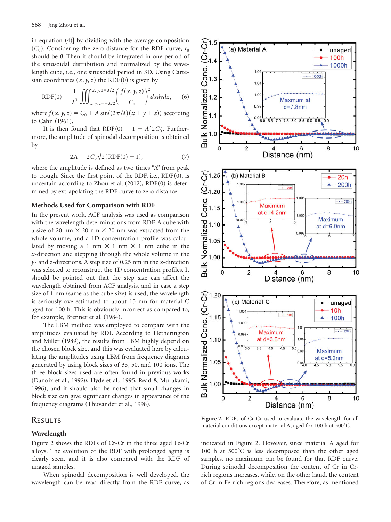in equation  $(4)$ ] by dividing with the average composition  $(C_0)$ . Considering the zero distance for the RDF curve,  $r_0$ should be *0*. Then it should be integrated in one period of the sinusoidal distribution and normalized by the wavelength cube, i.e., one sinusoidal period in 3D. Using Cartesian coordinates  $(x, y, z)$  the RDF $(0)$  is given by

RDF(0) = 
$$
\frac{1}{\lambda^3} \iiint_{x, y, z = -\lambda/2}^{x, y, z = \lambda/2} \left( \frac{f(x, y, z)}{C_0} \right)^2 dx dy dz,
$$
 (6)

where  $f(x, y, z) = C_0 + A \sin((2\pi/\lambda)(x + y + z))$  according to Cahn (1961).

It is then found that  $RDF(0) = 1 + A^2 2C_0^2$ . Furthermore, the amplitude of spinodal decomposition is obtained by

$$
2A = 2C_0 \sqrt{2(RDF(0) - 1)},
$$
\n(7)

where the amplitude is defined as two times "A" from peak to trough. Since the first point of the RDF, i.e.,  $RDF(0)$ , is uncertain according to Zhou et al.  $(2012)$ , RDF $(0)$  is determined by extrapolating the RDF curve to zero distance.

#### **Methods Used for Comparison with RDF**

In the present work, ACF analysis was used as comparison with the wavelength determinations from RDF. A cube with a size of 20 nm  $\times$  20 nm  $\times$  20 nm was extracted from the whole volume, and a 1D concentration profile was calculated by moving a 1 nm  $\times$  1 nm  $\times$  1 nm cube in the *x*-direction and stepping through the whole volume in the *y*- and *z*-directions. A step size of 0.25 nm in the *x*-direction was selected to reconstruct the 1D concentration profiles. It should be pointed out that the step size can affect the wavelength obtained from ACF analysis, and in case a step size of  $1 \text{ nm}$  (same as the cube size) is used, the wavelength is seriously overestimated to about 15 nm for material C aged for 100 h. This is obviously incorrect as compared to, for example, Brenner et al. (1984).

The LBM method was employed to compare with the amplitudes evaluated by RDF. According to Hetherington and Miller (1989), the results from LBM highly depend on the chosen block size, and this was evaluated here by calculating the amplitudes using LBM from frequency diagrams generated by using block sizes of 33, 50, and 100 ions. The three block sizes used are often found in previous works ~Danoix et al., 1992*b*; Hyde et al., 1995; Read & Murakami, 1996), and it should also be noted that small changes in block size can give significant changes in appearance of the frequency diagrams (Thuvander et al., 1998).

### **RESULTS**

### **Wavelength**

Figure 2 shows the RDFs of Cr-Cr in the three aged Fe-Cr alloys. The evolution of the RDF with prolonged aging is clearly seen, and it is also compared with the RDF of unaged samples.

When spinodal decomposition is well developed, the wavelength can be read directly from the RDF curve, as



**Figure 2.** RDFs of Cr-Cr used to evaluate the wavelength for all material conditions except material A, aged for  $100$  h at  $500^{\circ}$ C.

indicated in Figure 2. However, since material A aged for 100 h at  $500^{\circ}$ C is less decomposed than the other aged samples, no maximum can be found for that RDF curve. During spinodal decomposition the content of Cr in Crrich regions increases, while, on the other hand, the content of Cr in Fe-rich regions decreases. Therefore, as mentioned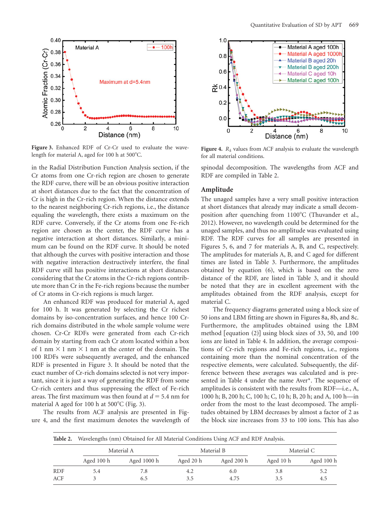

**Figure 3.** Enhanced RDF of Cr-Cr used to evaluate the wavelength for material A, aged for 100 h at  $500^{\circ}$ C.

in the Radial Distribution Function Analysis section, if the Cr atoms from one Cr-rich region are chosen to generate the RDF curve, there will be an obvious positive interaction at short distances due to the fact that the concentration of Cr is high in the Cr-rich region. When the distance extends to the nearest neighboring Cr-rich regions, i.e., the distance equaling the wavelength, there exists a maximum on the RDF curve. Conversely, if the Cr atoms from one Fe-rich region are chosen as the center, the RDF curve has a negative interaction at short distances. Similarly, a minimum can be found on the RDF curve. It should be noted that although the curves with positive interaction and those with negative interaction destructively interfere, the final RDF curve still has positive interactions at short distances considering that the Cr atoms in the Cr-rich regions contribute more than Cr in the Fe-rich regions because the number of Cr atoms in Cr-rich regions is much larger.

An enhanced RDF was produced for material A, aged for 100 h. It was generated by selecting the Cr richest domains by iso-concentration surfaces, and hence 100 Crrich domains distributed in the whole sample volume were chosen. Cr-Cr RDFs were generated from each Cr-rich domain by starting from each Cr atom located within a box of 1 nm  $\times$  1 nm  $\times$  1 nm at the center of the domain. The 100 RDFs were subsequently averaged, and the enhanced RDF is presented in Figure 3. It should be noted that the exact number of Cr-rich domains selected is not very important, since it is just a way of generating the RDF from some Cr-rich centers and thus suppressing the effect of Fe-rich areas. The first maximum was then found at  $d = 5.4$  nm for material A aged for 100 h at  $500^{\circ}$ C (Fig. 3).

The results from ACF analysis are presented in Figure 4, and the first maximum denotes the wavelength of



**Figure 4.**  $R_k$  values from ACF analysis to evaluate the wavelength for all material conditions.

spinodal decomposition. The wavelengths from ACF and RDF are compiled in Table 2.

### **Amplitude**

The unaged samples have a very small positive interaction at short distances that already may indicate a small decomposition after quenching from  $1100^{\circ}$ C (Thuvander et al., 2012). However, no wavelength could be determined for the unaged samples, and thus no amplitude was evaluated using RDF. The RDF curves for all samples are presented in Figures 5, 6, and 7 for materials A, B, and C, respectively. The amplitudes for materials A, B, and C aged for different times are listed in Table 3. Furthermore, the amplitudes obtained by equation  $(6)$ , which is based on the zero distance of the RDF, are listed in Table 3, and it should be noted that they are in excellent agreement with the amplitudes obtained from the RDF analysis, except for material C.

The frequency diagrams generated using a block size of 50 ions and LBM fitting are shown in Figures 8a, 8b, and 8c. Furthermore, the amplitudes obtained using the LBM method  $[$ equation  $(2)$ ] using block sizes of 33, 50, and 100 ions are listed in Table 4. In addition, the average compositions of Cr-rich regions and Fe-rich regions, i.e., regions containing more than the nominal concentration of the respective elements, were calculated. Subsequently, the difference between these averages was calculated and is presented in Table 4 under the name Aver\*. The sequence of amplitudes is consistent with the results from RDF—i.e., A, 1000 h; B, 200 h; C, 100 h; C, 10 h; B, 20 h; and A, 100 h—in order from the most to the least decomposed. The amplitudes obtained by LBM decreases by almost a factor of 2 as the block size increases from 33 to 100 ions. This has also

| Table 2.   | Wavelengths (nm) Obtained for All Material Conditions Using ACF and RDF Analysis. |             |           |            |            |            |  |  |  |
|------------|-----------------------------------------------------------------------------------|-------------|-----------|------------|------------|------------|--|--|--|
|            |                                                                                   | Material A  |           | Material B | Material C |            |  |  |  |
|            | Aged 100 h                                                                        | Aged 1000 h | Aged 20 h | Aged 200 h | Aged 10 h  | Aged 100 h |  |  |  |
| <b>RDF</b> | 5.4                                                                               | 7.8         | 4.2       | 6.0        | 3.8        | 5.2        |  |  |  |
| ACF        |                                                                                   | 6.5         | 3.5       | 4.75       | 3.5        | 4.5        |  |  |  |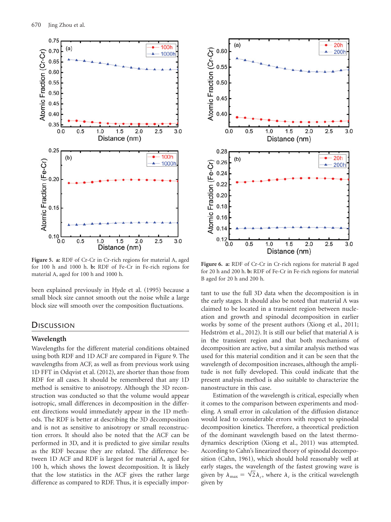

**Figure 5. a:** RDF of Cr-Cr in Cr-rich regions for material A, aged for 100 h and 1000 h. **b:** RDF of Fe-Cr in Fe-rich regions for material A, aged for 100 h and 1000 h.

been explained previously in Hyde et al. (1995) because a small block size cannot smooth out the noise while a large block size will smooth over the composition fluctuations.

### **DISCUSSION**

#### **Wavelength**

Wavelengths for the different material conditions obtained using both RDF and 1D ACF are compared in Figure 9. The wavelengths from ACF, as well as from previous work using 1D FFT in Odqvist et al.  $(2012)$ , are shorter than those from RDF for all cases. It should be remembered that any 1D method is sensitive to anisotropy. Although the 3D reconstruction was conducted so that the volume would appear isotropic, small differences in decomposition in the different directions would immediately appear in the 1D methods. The RDF is better at describing the 3D decomposition and is not as sensitive to anisotropy or small reconstruction errors. It should also be noted that the ACF can be performed in 3D, and it is predicted to give similar results as the RDF because they are related. The difference between 1D ACF and RDF is largest for material A, aged for 100 h, which shows the lowest decomposition. It is likely that the low statistics in the ACF gives the rather large difference as compared to RDF. Thus, it is especially impor-



**Figure 6. a:** RDF of Cr-Cr in Cr-rich regions for material B aged for 20 h and 200 h. **b:** RDF of Fe-Cr in Fe-rich regions for material B aged for 20 h and 200 h.

tant to use the full 3D data when the decomposition is in the early stages. It should also be noted that material A was claimed to be located in a transient region between nucleation and growth and spinodal decomposition in earlier works by some of the present authors (Xiong et al., 2011; Hedström et al., 2012). It is still our belief that material A is in the transient region and that both mechanisms of decomposition are active, but a similar analysis method was used for this material condition and it can be seen that the wavelength of decomposition increases, although the amplitude is not fully developed. This could indicate that the present analysis method is also suitable to characterize the nanostructure in this case.

Estimation of the wavelength is critical, especially when it comes to the comparison between experiments and modeling. A small error in calculation of the diffusion distance would lead to considerable errors with respect to spinodal decomposition kinetics. Therefore, a theoretical prediction of the dominant wavelength based on the latest thermodynamics description (Xiong et al., 2011) was attempted. According to Cahn's linearized theory of spinodal decomposition (Cahn, 1961), which should hold reasonably well at early stages, the wavelength of the fastest growing wave is given by  $\lambda_{\text{max}} = \sqrt{2} \lambda_c$ , where  $\lambda_c$  is the critical wavelength given by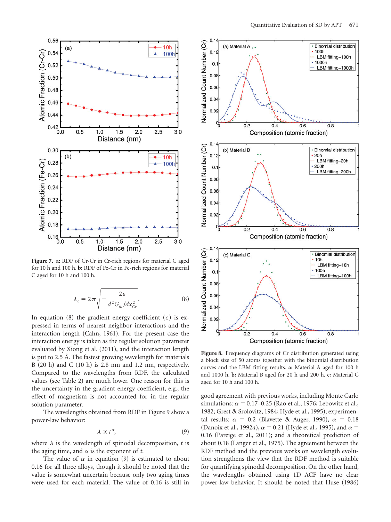

**Figure 7. a:** RDF of Cr-Cr in Cr-rich regions for material C aged for 10 h and 100 h. **b:** RDF of Fe-Cr in Fe-rich regions for material C aged for 10 h and 100 h.

$$
\lambda_c = 2\pi \sqrt{-\frac{2\epsilon}{d^2 G_m / dx_{Cr}^2}}.
$$
 (8)

In equation (8) the gradient energy coefficient ( $\epsilon$ ) is expressed in terms of nearest neighbor interactions and the interaction length (Cahn, 1961). For the present case the interaction energy is taken as the regular solution parameter evaluated by Xiong et al.  $(2011)$ , and the interaction length is put to 2.5 Å. The fastest growing wavelength for materials B  $(20 h)$  and C  $(10 h)$  is 2.8 nm and 1.2 nm, respectively. Compared to the wavelengths from RDF, the calculated values (see Table 2) are much lower. One reason for this is the uncertainty in the gradient energy coefficient, e.g., the effect of magnetism is not accounted for in the regular solution parameter.

The wavelengths obtained from RDF in Figure 9 show a power-law behavior:

$$
\lambda \propto t^{\alpha},\tag{9}
$$

where  $\lambda$  is the wavelength of spinodal decomposition, *t* is the aging time, and  $\alpha$  is the exponent of  $t$ .

The value of  $\alpha$  in equation (9) is estimated to about 0.16 for all three alloys, though it should be noted that the value is somewhat uncertain because only two aging times were used for each material. The value of 0.16 is still in



**Figure 8.** Frequency diagrams of Cr distribution generated using a block size of 50 atoms together with the binomial distribution curves and the LBM fitting results. **a:** Material A aged for 100 h and 1000 h. **b:** Material B aged for 20 h and 200 h. **c:** Material C aged for 10 h and 100 h.

good agreement with previous works, including Monte Carlo simulations:  $\alpha = 0.17$ –0.25 (Rao et al., 1976; Lebowitz et al., 1982; Grest & Srolovitz, 1984; Hyde et al., 1995); experimental results:  $\alpha = 0.2$  (Blavette & Auger, 1990),  $\alpha = 0.18$ (Danoix et al., 1992*a*),  $\alpha$  = 0.21 (Hyde et al., 1995), and  $\alpha$  = 0.16 (Pareige et al., 2011); and a theoretical prediction of about 0.18 (Langer et al., 1975). The agreement between the RDF method and the previous works on wavelength evolution strengthens the view that the RDF method is suitable for quantifying spinodal decomposition. On the other hand, the wavelengths obtained using 1D ACF have no clear power-law behavior. It should be noted that Huse (1986)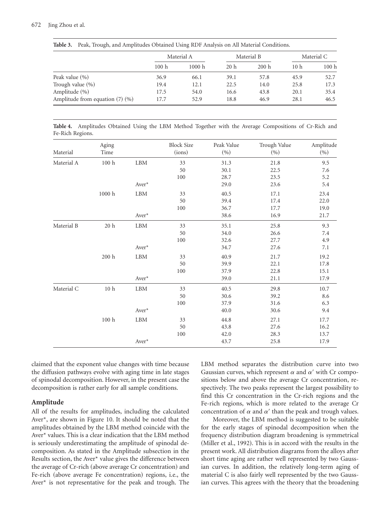**Table 3.** Peak, Trough, and Amplitudes Obtained Using RDF Analysis on All Material Conditions.

|                                      | Material A |        | Material B      |       | Material C      |       |
|--------------------------------------|------------|--------|-----------------|-------|-----------------|-------|
|                                      | 100h       | 1000 h | 20 <sub>h</sub> | 200 h | 10 <sub>h</sub> | 100 h |
| Peak value (%)                       | 36.9       | 66.1   | 39.1            | 57.8  | 45.9            | 52.7  |
| Trough value (%)                     | 19.4       | 12.1   | 22.5            | 14.0  | 25.8            | 17.3  |
| Amplitude (%)                        | 17.5       | 54.0   | 16.6            | 43.8  | 20.1            | 35.4  |
| Amplitude from equation $(7)$ $(\%)$ | 17.7       | 52.9   | 18.8            | 46.9  | 28.1            | 46.5  |

**Table 4.** Amplitudes Obtained Using the LBM Method Together with the Average Compositions of Cr-Rich and Fe-Rich Regions.

| Material   | Aging<br>Time     |             | <b>Block Size</b><br>(ions) | Peak Value<br>(%) | Trough Value<br>(%) | Amplitude<br>(%) |
|------------|-------------------|-------------|-----------------------------|-------------------|---------------------|------------------|
| Material A | 100 <sub>h</sub>  | <b>LBM</b>  | 33                          | 31.3              | 21.8                | 9.5              |
|            |                   |             | 50                          | 30.1              | 22.5                | 7.6              |
|            |                   |             | 100                         | 28.7              | 23.5                | 5.2              |
|            |                   | Aver*       |                             | 29.0              | 23.6                | 5.4              |
|            | $1000~\mathrm{h}$ | ${\rm LBM}$ | 33                          | 40.5              | 17.1                | 23.4             |
|            |                   |             | 50                          | 39.4              | 17.4                | 22.0             |
|            |                   |             | 100                         | 36.7              | 17.7                | 19.0             |
|            |                   | Aver*       |                             | 38.6              | 16.9                | 21.7             |
| Material B | $20\ \mathrm{h}$  | LBM         | 33                          | 35.1              | 25.8                | 9.3              |
|            |                   |             | 50                          | 34.0              | 26.6                | 7.4              |
|            |                   |             | 100                         | 32.6              | 27.7                | 4.9              |
|            |                   | Aver*       |                             | 34.7              | 27.6                | 7.1              |
|            | $200\ \mathrm{h}$ | ${\rm LBM}$ | 33                          | 40.9              | 21.7                | 19.2             |
|            |                   |             | 50                          | 39.9              | 22.1                | 17.8             |
|            |                   |             | 100                         | 37.9              | 22.8                | 15.1             |
|            |                   | Aver*       |                             | 39.0              | 21.1                | 17.9             |
| Material C | 10 <sub>h</sub>   | LBM         | 33                          | 40.5              | 29.8                | 10.7             |
|            |                   |             | 50                          | 30.6              | 39.2                | 8.6              |
|            |                   |             | 100                         | 37.9              | 31.6                | 6.3              |
|            |                   | Aver*       |                             | $40.0\,$          | 30.6                | 9.4              |
|            | 100 <sub>h</sub>  | <b>LBM</b>  | 33                          | 44.8              | 27.1                | 17.7             |
|            |                   |             | 50                          | 43.8              | 27.6                | 16.2             |
|            |                   |             | 100                         | 42.0              | 28.3                | 13.7             |
|            |                   | Aver*       |                             | 43.7              | 25.8                | 17.9             |

claimed that the exponent value changes with time because the diffusion pathways evolve with aging time in late stages of spinodal decomposition. However, in the present case the decomposition is rather early for all sample conditions.

### **Amplitude**

All of the results for amplitudes, including the calculated Aver\*, are shown in Figure 10. It should be noted that the amplitudes obtained by the LBM method coincide with the Aver\* values. This is a clear indication that the LBM method is seriously underestimating the amplitude of spinodal decomposition. As stated in the Amplitude subsection in the Results section, the Aver\* value gives the difference between the average of Cr-rich (above average Cr concentration) and Fe-rich (above average Fe concentration) regions, i.e., the Aver\* is not representative for the peak and trough. The LBM method separates the distribution curve into two Gaussian curves, which represent  $\alpha$  and  $\alpha'$  with Cr compositions below and above the average Cr concentration, respectively. The two peaks represent the largest possibility to find this Cr concentration in the Cr-rich regions and the Fe-rich regions, which is more related to the average Cr concentration of  $\alpha$  and  $\alpha'$  than the peak and trough values.

Moreover, the LBM method is suggested to be suitable for the early stages of spinodal decomposition when the frequency distribution diagram broadening is symmetrical (Miller et al., 1992). This is in accord with the results in the present work. All distribution diagrams from the alloys after short time aging are rather well represented by two Gaussian curves. In addition, the relatively long-term aging of material C is also fairly well represented by the two Gaussian curves. This agrees with the theory that the broadening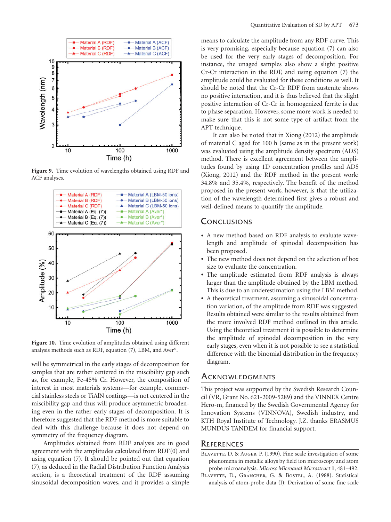

**Figure 9.** Time evolution of wavelengths obtained using RDF and ACF analyses.



**Figure 10.** Time evolution of amplitudes obtained using different analysis methods such as RDF, equation  $(7)$ , LBM, and Aver\*.

will be symmetrical in the early stages of decomposition for samples that are rather centered in the miscibility gap such as, for example, Fe-45% Cr. However, the composition of interest in most materials systems—for example, commercial stainless steels or TiAlN coatings—is not centered in the miscibility gap and thus will produce asymmetric broadening even in the rather early stages of decomposition. It is therefore suggested that the RDF method is more suitable to deal with this challenge because it does not depend on symmetry of the frequency diagram.

Amplitudes obtained from RDF analysis are in good agreement with the amplitudes calculated from  $RDF(0)$  and using equation  $(7)$ . It should be pointed out that equation (7), as deduced in the Radial Distribution Function Analysis section, is a theoretical treatment of the RDF assuming sinusoidal decomposition waves, and it provides a simple

means to calculate the amplitude from any RDF curve. This is very promising, especially because equation (7) can also be used for the very early stages of decomposition. For instance, the unaged samples also show a slight positive Cr-Cr interaction in the RDF, and using equation  $(7)$  the amplitude could be evaluated for these conditions as well. It should be noted that the Cr-Cr RDF from austenite shows no positive interaction, and it is thus believed that the slight positive interaction of Cr-Cr in homogenized ferrite is due to phase separation. However, some more work is needed to make sure that this is not some type of artifact from the APT technique.

It can also be noted that in Xiong  $(2012)$  the amplitude of material C aged for 100 h (same as in the present work) was evaluated using the amplitude density spectrum (ADS) method. There is excellent agreement between the amplitudes found by using 1D concentration profiles and ADS  $(Xiong, 2012)$  and the RDF method in the present work: 34.8% and 35.4%, respectively. The benefit of the method proposed in the present work, however, is that the utilization of the wavelength determined first gives a robust and well-defined means to quantify the amplitude.

### **CONCLUSIONS**

- A new method based on RDF analysis to evaluate wavelength and amplitude of spinodal decomposition has been proposed.
- The new method does not depend on the selection of box size to evaluate the concentration.
- The amplitude estimated from RDF analysis is always larger than the amplitude obtained by the LBM method. This is due to an underestimation using the LBM method.
- A theoretical treatment, assuming a sinusoidal concentration variation, of the amplitude from RDF was suggested. Results obtained were similar to the results obtained from the more involved RDF method outlined in this article. Using the theoretical treatment it is possible to determine the amplitude of spinodal decomposition in the very early stages, even when it is not possible to see a statistical difference with the binomial distribution in the frequency diagram.

### **ACKNOWLEDGMENTS**

This project was supported by the Swedish Research Council (VR, Grant No. 621-2009-5289) and the VINNEX Centre Hero-m, financed by the Swedish Governmental Agency for Innovation Systems (VINNOVA), Swedish industry, and KTH Royal Institute of Technology. J.Z. thanks ERASMUS MUNDUS TANDEM for financial support.

### **REFERENCES**

- BLAVETTE, D. & AUGER, P. (1990). Fine scale investigation of some phenomena in metallic alloys by field ion microscopy and atom probe microanalysis. *Microsc Microanal Microstruct* **1**, 481–492.
- BLAVETTE, D., GRANCHER, G. & BOSTEL, A. (1988). Statistical analysis of atom-probe data (I): Derivation of some fine scale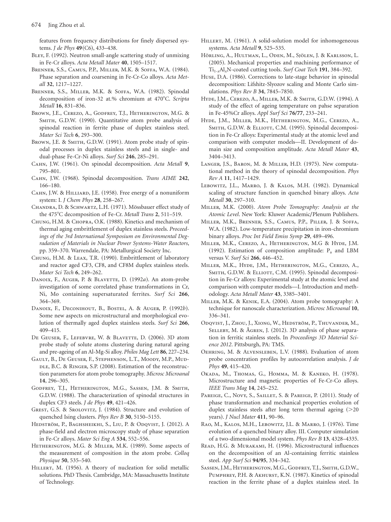features from frequency distributions for finely dispersed systems. *J de Phys* 49(C6), 433–438.

- BLEY, F. (1992). Neutron small-angle scattering study of unmixing in Fe-Cr alloys. *Acta Metall Mater* **40**, 1505–1517.
- BRENNER, S.S., CAMUS, P.P., MILLER, M.K. & SOFFA, W.A. (1984). Phase separation and coarsening in Fe-Cr-Co alloys. *Acta Metall* **32**, 1217–1227.
- BRENNER, S.S., MILLER, M.K. & SOFFA, W.A. (1982). Spinodal decomposition of iron-32 at.% chromium at 470°C. *Scripta Metall* **16**, 831–836.
- Brown, J.E., Cerezo, A., Godfrey, T.J., Hetherington, M.G. & SMITH, G.D.W. (1990). Quantitative atom probe analysis of spinodal reaction in ferrite phase of duplex stainless steel. *Mater Sci Tech* **6**, 293–300.
- BROWN, J.E. & SMITH, G.D.W. (1991). Atom probe study of spinodal processes in duplex stainless steels and in single- and dual-phase Fe-Cr-Ni alloys. *Surf Sci* **246**, 285–291.
- CAHN, J.W. (1961). On spinodal decomposition. *Acta Metall* 9, 795–801.
- Cahn, J.W. ~1968!. Spinodal decomposition. *Trans AIME* **242**, 166–180.
- CAHN, J.W. & HILLIARD, J.E. (1958). Free energy of a nonuniform system: I. *J Chem Phys* **28**, 258–267.
- CHANDRA, D. & SCHWARTZ, L.H. (1971). Mössbauer effect study of the 4758C decomposition of Fe-Cr. *Metall Trans* **2**, 511–519.
- CHUNG, H.M. & CHOPRA, O.K. (1988). Kinetics and mechanism of thermal aging embrittlement of duplex stainless steels. *Proceedings of the 3rd International Symposium on Environmental Degradation of Materials in Nuclear Power Systems-Water Reactors*, pp. 359–370. Warrendale, PA: Metallurgical Society Inc.
- CHUNG, H.M. & LEAX, T.R. (1990). Embrittlement of laboratory and reactor aged CF3, CF8, and CF8M duplex stainless steels. *Mater Sci Tech* **6**, 249–262.
- DANOIX, F., AUGER, P. & BLAVETTE, D. (1992*a*). An atom-probe investigation of some correlated phase transformations in Cr, Ni, Mo containing supersaturated ferrites. *Surf Sci* **266**, 364–369.
- DANOIX, F., DECONIHOUT, B., BOSTEL, A. & AUGER, P. (1992b). Some new aspects on microstructural and morphological evolution of thermally aged duplex stainless steels. *Surf Sci* **266**, 409–415.
- DE GEUSER, F., LEFEBVRE, W. & BLAVETTE, D. (2006). 3D atom probe study of solute atoms clustering during natural ageing and pre-ageing of an Al-Mg-Si alloy. *Philos Mag Lett* **86**, 227–234.
- Gault, B., De Geuser, F., Stephenson, L.T., Moody, M.P., Mud-DLE, B.C. & RINGER, S.P. (2008). Estimation of the reconstruction parameters for atom probe tomography. *Microsc Microanal* **14**, 296–305.
- Godfrey, T.J., Hetherington, M.G., Sassen, J.M. & Smith, G.D.W. (1988). The characterization of spinodal structures in duplex CF3 steels. *J de Phys* **49**, 421–426.
- GREST, G.S. & SROLOVITZ, J. (1984). Structure and evolution of quenched Ising clusters. *Phys Rev B* **30**, 5150–5155.
- Hedström, P., Baghsheikhi, S., Liu, P. & Odqvist, J. (2012). A phase-field and electron microscopy study of phase separation in Fe-Cr alloys. *Mater Sci Eng A* **534**, 552–556.
- HETHERINGTON, M.G. & MILLER, M.K. (1989). Some aspects of the measurement of composition in the atom probe. *Colloq Physique* **50**, 535–540.
- HILLERT, M. (1956). A theory of nucleation for solid metallic solutions. PhD Thesis. Cambridge, MA: Massachusetts Institute of Technology.
- HILLERT, M. (1961). A solid-solution model for inhomogeneous systems. *Acta Metall* **9**, 525–535.
- Hörling, A., Hultman, L., Oden, M., Sjölen, J. & Karlsson, L. (2005). Mechanical properties and machining performance of Ti1-*x*Al*x*N-coated cutting tools. *Surf Coat Tech* **191**, 384–392.
- Huse, D.A. (1986). Corrections to late-stage behavior in spinodal decomposition: Lifshitz-Slyozov scaling and Monte Carlo simulations. *Phys Rev B* **34**, 7845–7850.
- HYDE, J.M., CEREZO, A., MILLER, M.K. & SMITH, G.D.W. (1994). A study of the effect of ageing temperature on pahse separation in Fe-45%Cr alloys. *Appl Surf Sci* **76/77**, 233–241.
- Hyde, J.M., Miller, M.K., Hetherington, M.G., Cerezo, A., SMITH, G.D.W. & ELLIOTT, C.M. (1995). Spinodal decomposition in Fe-Cr alloys: Experimental study at the atomic level and comparison with computer models—II. Development of domain size and composition amplitude. *Acta Metall Mater* **43**, 3404–3413.
- LANGER, J.S., BARON, M. & MILLER, H.D. (1975). New computational method in the theory of spinodal decomposition. *Phys Rev A* **11**, 1417–1429.
- LEBOWITZ, J.L., MARRO, J. & KALOS, M.H. (1982). Dynamical scaling of structure function in quenched binary alloys. *Acta Metall* **30**, 297–310.
- Miller, M.K. ~2000!. *Atom Probe Tomography: Analysis at the Atomic Level*. New York: Kluwer Academic/Plenum Publishers.
- Miller, M.K., Brenner, S.S., Camus, P.P., Piller, J. & Soffa, W.A. (1982). Low-temperature precipitation in iron-chromium binary alloys. *Proc Int Field Emiss Symp* **29**, 489–496.
- Miller, M.K., Cerezo, A., Hetherington, M.G & Hyde, J.M. (1992). Estimation of composition amplitude:  $P_a$  and LBM versus V. *Surf Sci* **266**, 446–452.
- Miller, M.K., Hyde, J.M., Hetherington, M.G., Cerezo, A., SMITH, G.D.W. & ELLIOTT, C.M. (1995). Spinodal decomposition in Fe-Cr alloys: Experimental study at the atomic level and comparison with computer models—I. Introduction and methodology. *Acta Metall Mater* **43**, 3385–3401.
- MILLER, M.K. & KENIK, E.A. (2004). Atom probe tomography: A technique for nanoscale characterization. *Microsc Microanal* **10**, 336–341.
- Odqvist, J., Zhou, J., Xiong, W., Hedström, P., Thuvander, M., SELLEBY, M. & ÅGREN, J. (2012). 3D analysis of phase separation in ferritic stainless steels. In *Proceedings 3D Material Science 2012*. Pittsburgh, PA: TMS.
- OEHRING, M. & ALVENSLEBEN, L.V. (1988). Evaluation of atom probe concentration profiles by autocorrelation analysis. *J de Phys* **49**, 415–420.
- Okada, M., Thomas, G., Homma, M. & Kaneko, H. (1978). Microstructure and magnetic properties of Fe-Cr-Co alloys. *IEEE Trans Mag* **14**, 245–252.
- PAREIGE, C., Novy, S., SAILLET, S. & PAREIGE, P. (2011). Study of phase transformation and mechanical properties evolution of duplex stainless steels after long term thermal ageing  $(>=20$ years). *J Nucl Mater* 411, 90-96.
- RAO, M., KALOS, M.H., LEBOWITZ, J.L. & MARRO, J. (1976). Time evolution of a quenched binary alloy. III. Computer simulation of a two-dimensional model system. *Phys Rev B* **13**, 4328–4335.
- READ, H.G. & MURAKAMI, H. (1996). Microstructural influences on the decomposition of an Al-containing ferritic stainless steel. *App Surf Sci* **94/95**, 334–342.
- Sassen, J.M., Hetherington, M.G., Godfrey, T.J., Smith, G.D.W., PUMPHREY, P.H. & AKHURST, K.N. (1987). Kinetics of spinodal reaction in the ferrite phase of a duplex stainless steel. In